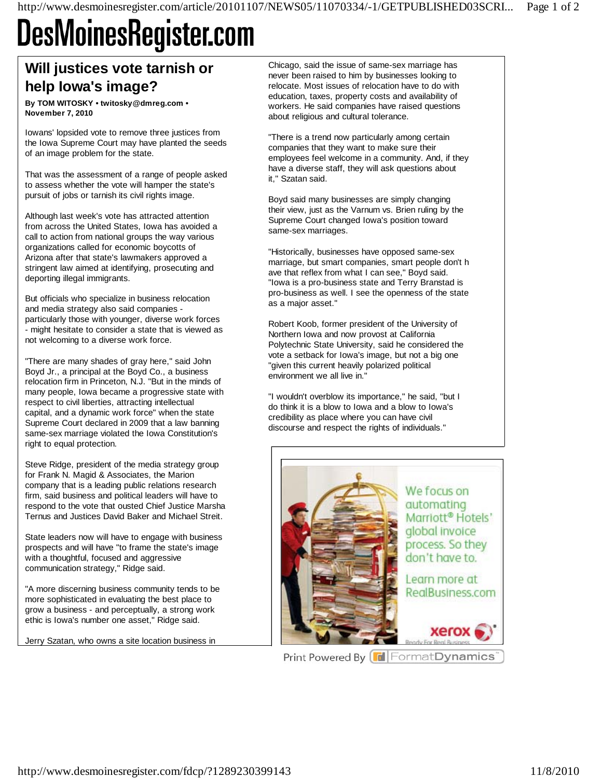## **DesMoinesRegister.com**

## **Will justices vote tarnish or help Iowa's image?**

**By TOM WITOSKY • twitosky@dmreg.com • November 7, 2010** 

Iowans' lopsided vote to remove three justices from the Iowa Supreme Court may have planted the seeds of an image problem for the state.

That was the assessment of a range of people asked to assess whether the vote will hamper the state's pursuit of jobs or tarnish its civil rights image.

Although last week's vote has attracted attention from across the United States, Iowa has avoided a call to action from national groups the way various organizations called for economic boycotts of Arizona after that state's lawmakers approved a stringent law aimed at identifying, prosecuting and deporting illegal immigrants.

But officials who specialize in business relocation and media strategy also said companies particularly those with younger, diverse work forces - might hesitate to consider a state that is viewed as not welcoming to a diverse work force.

"There are many shades of gray here," said John Boyd Jr., a principal at the Boyd Co., a business relocation firm in Princeton, N.J. "But in the minds of many people, Iowa became a progressive state with respect to civil liberties, attracting intellectual capital, and a dynamic work force" when the state Supreme Court declared in 2009 that a law banning same-sex marriage violated the Iowa Constitution's right to equal protection.

Steve Ridge, president of the media strategy group for Frank N. Magid & Associates, the Marion company that is a leading public relations research firm, said business and political leaders will have to respond to the vote that ousted Chief Justice Marsha Ternus and Justices David Baker and Michael Streit.

State leaders now will have to engage with business prospects and will have "to frame the state's image with a thoughtful, focused and aggressive communication strategy," Ridge said.

"A more discerning business community tends to be more sophisticated in evaluating the best place to grow a business - and perceptually, a strong work ethic is Iowa's number one asset," Ridge said.

Jerry Szatan, who owns a site location business in

Chicago, said the issue of same-sex marriage has never been raised to him by businesses looking to relocate. Most issues of relocation have to do with education, taxes, property costs and availability of workers. He said companies have raised questions about religious and cultural tolerance.

"There is a trend now particularly among certain companies that they want to make sure their employees feel welcome in a community. And, if they have a diverse staff, they will ask questions about it," Szatan said.

Boyd said many businesses are simply changing their view, just as the Varnum vs. Brien ruling by the Supreme Court changed Iowa's position toward same-sex marriages.

"Historically, businesses have opposed same-sex marriage, but smart companies, smart people don't h ave that reflex from what I can see," Boyd said. "Iowa is a pro-business state and Terry Branstad is pro-business as well. I see the openness of the state as a major asset."

Robert Koob, former president of the University of Northern Iowa and now provost at California Polytechnic State University, said he considered the vote a setback for Iowa's image, but not a big one "given this current heavily polarized political environment we all live in."

"I wouldn't overblow its importance," he said, "but I do think it is a blow to Iowa and a blow to Iowa's credibility as place where you can have civil discourse and respect the rights of individuals."